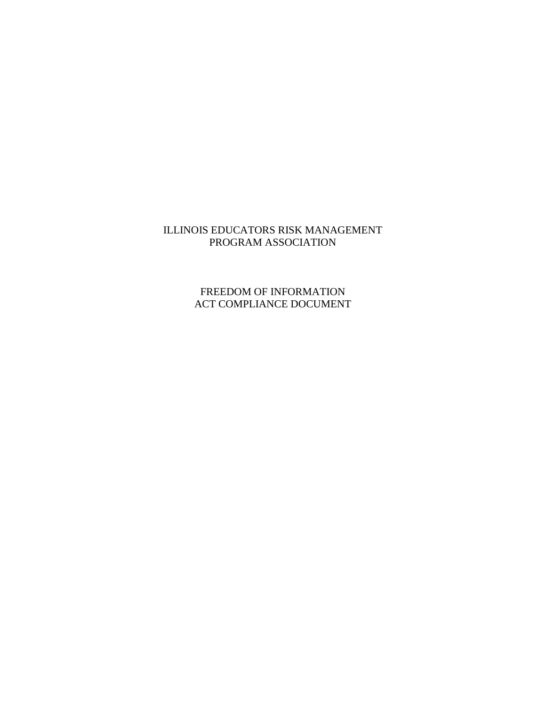# ILLINOIS EDUCATORS RISK MANAGEMENT PROGRAM ASSOCIATION

# FREEDOM OF INFORMATION ACT COMPLIANCE DOCUMENT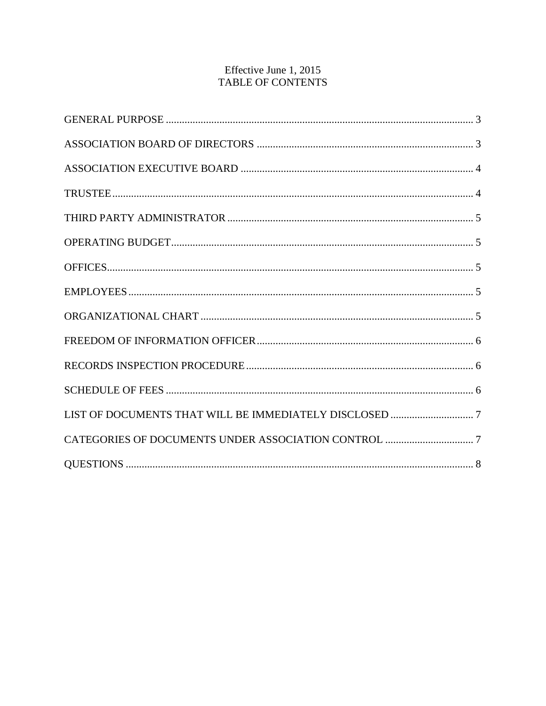# Effective June 1, 2015 TABLE OF CONTENTS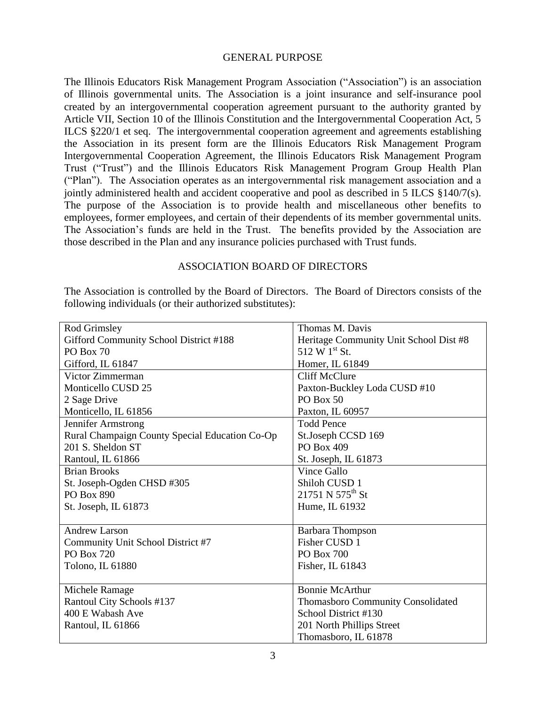### <span id="page-2-0"></span>GENERAL PURPOSE

The Illinois Educators Risk Management Program Association ("Association") is an association of Illinois governmental units. The Association is a joint insurance and self-insurance pool created by an intergovernmental cooperation agreement pursuant to the authority granted by Article VII, Section 10 of the Illinois Constitution and the Intergovernmental Cooperation Act, 5 ILCS §220/1 et seq. The intergovernmental cooperation agreement and agreements establishing the Association in its present form are the Illinois Educators Risk Management Program Intergovernmental Cooperation Agreement, the Illinois Educators Risk Management Program Trust ("Trust") and the Illinois Educators Risk Management Program Group Health Plan ("Plan"). The Association operates as an intergovernmental risk management association and a jointly administered health and accident cooperative and pool as described in 5 ILCS §140/7(s). The purpose of the Association is to provide health and miscellaneous other benefits to employees, former employees, and certain of their dependents of its member governmental units. The Association's funds are held in the Trust. The benefits provided by the Association are those described in the Plan and any insurance policies purchased with Trust funds.

## <span id="page-2-1"></span>ASSOCIATION BOARD OF DIRECTORS

The Association is controlled by the Board of Directors. The Board of Directors consists of the following individuals (or their authorized substitutes):

| Rod Grimsley                                   | Thomas M. Davis                        |
|------------------------------------------------|----------------------------------------|
| Gifford Community School District #188         | Heritage Community Unit School Dist #8 |
| PO Box 70                                      | 512 W 1st St.                          |
| Gifford, IL 61847                              | Homer, IL 61849                        |
| Victor Zimmerman                               | <b>Cliff McClure</b>                   |
| Monticello CUSD 25                             | Paxton-Buckley Loda CUSD #10           |
| 2 Sage Drive                                   | <b>PO Box 50</b>                       |
| Monticello, IL 61856                           | Paxton, IL 60957                       |
| Jennifer Armstrong                             | <b>Todd Pence</b>                      |
| Rural Champaign County Special Education Co-Op | St.Joseph CCSD 169                     |
| 201 S. Sheldon ST                              | PO Box 409                             |
| Rantoul, IL 61866                              | St. Joseph, IL 61873                   |
| <b>Brian Brooks</b>                            | <b>Vince Gallo</b>                     |
| St. Joseph-Ogden CHSD #305                     | Shiloh CUSD 1                          |
| PO Box 890                                     | $21751 N 575$ <sup>th</sup> St         |
| St. Joseph, IL 61873                           | Hume, IL 61932                         |
|                                                |                                        |
| <b>Andrew Larson</b>                           | Barbara Thompson                       |
| Community Unit School District #7              | Fisher CUSD 1                          |
| PO Box 720                                     | PO Box 700                             |
| Tolono, IL 61880                               | Fisher, IL 61843                       |
|                                                |                                        |
| Michele Ramage                                 | <b>Bonnie McArthur</b>                 |
| Rantoul City Schools #137                      | Thomasboro Community Consolidated      |
| 400 E Wabash Ave                               | School District #130                   |
| Rantoul, IL 61866                              | 201 North Phillips Street              |
|                                                | Thomasboro, IL 61878                   |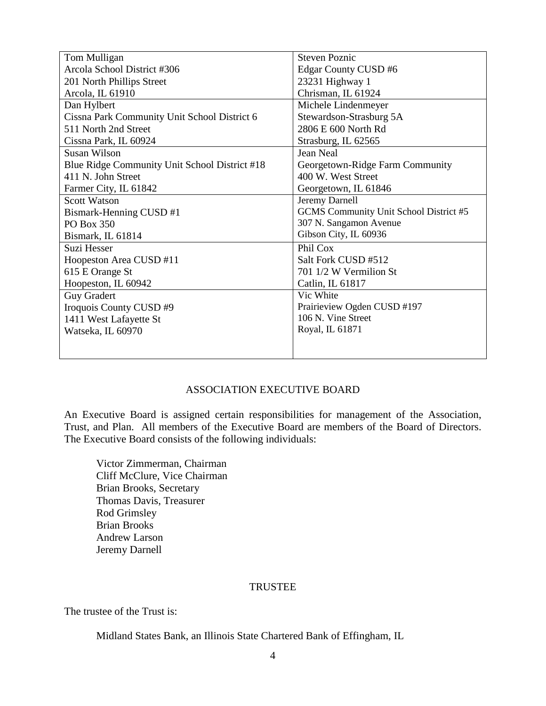| Tom Mulligan                                  | <b>Steven Poznic</b>                   |
|-----------------------------------------------|----------------------------------------|
| Arcola School District #306                   | Edgar County CUSD #6                   |
| 201 North Phillips Street                     | 23231 Highway 1                        |
| Arcola, IL 61910                              | Chrisman, IL 61924                     |
| Dan Hylbert                                   | Michele Lindenmeyer                    |
| Cissna Park Community Unit School District 6  | Stewardson-Strasburg 5A                |
| 511 North 2nd Street                          | 2806 E 600 North Rd                    |
| Cissna Park, IL 60924                         | Strasburg, IL 62565                    |
| <b>Susan Wilson</b>                           | Jean Neal                              |
| Blue Ridge Community Unit School District #18 | Georgetown-Ridge Farm Community        |
| 411 N. John Street                            | 400 W. West Street                     |
| Farmer City, IL 61842                         | Georgetown, IL 61846                   |
| <b>Scott Watson</b>                           | Jeremy Darnell                         |
| Bismark-Henning CUSD #1                       | GCMS Community Unit School District #5 |
| PO Box 350                                    | 307 N. Sangamon Avenue                 |
| Bismark, IL 61814                             | Gibson City, IL 60936                  |
| Suzi Hesser                                   | Phil Cox                               |
| Hoopeston Area CUSD #11                       | Salt Fork CUSD #512                    |
| 615 E Orange St                               | 701 1/2 W Vermilion St                 |
| Hoopeston, IL 60942                           | Catlin, IL 61817                       |
| <b>Guy Gradert</b>                            | Vic White                              |
| Iroquois County CUSD #9                       | Prairieview Ogden CUSD #197            |
| 1411 West Lafayette St                        | 106 N. Vine Street                     |
| Watseka, IL 60970                             | Royal, IL 61871                        |
|                                               |                                        |
|                                               |                                        |

# <span id="page-3-0"></span>ASSOCIATION EXECUTIVE BOARD

An Executive Board is assigned certain responsibilities for management of the Association, Trust, and Plan. All members of the Executive Board are members of the Board of Directors. The Executive Board consists of the following individuals:

Victor Zimmerman, Chairman Cliff McClure, Vice Chairman Brian Brooks, Secretary Thomas Davis, Treasurer Rod Grimsley Brian Brooks Andrew Larson Jeremy Darnell

### <span id="page-3-1"></span>TRUSTEE

The trustee of the Trust is:

Midland States Bank, an Illinois State Chartered Bank of Effingham, IL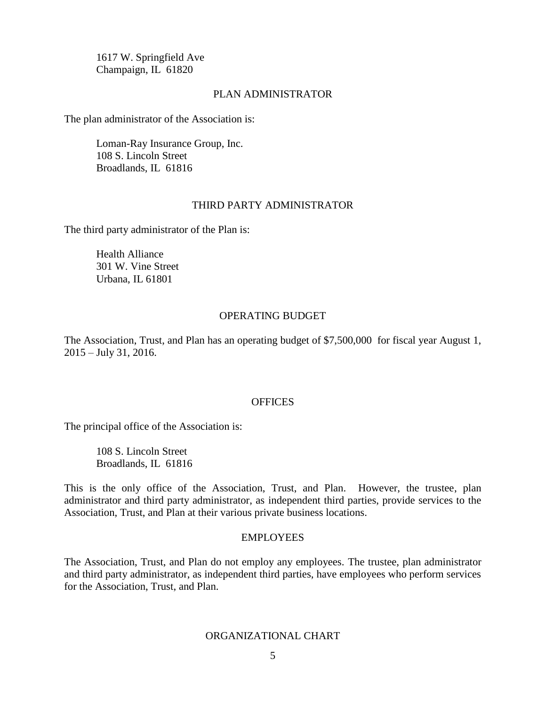1617 W. Springfield Ave Champaign, IL 61820

### PLAN ADMINISTRATOR

The plan administrator of the Association is:

Loman-Ray Insurance Group, Inc. 108 S. Lincoln Street Broadlands, IL 61816

#### <span id="page-4-0"></span>THIRD PARTY ADMINISTRATOR

The third party administrator of the Plan is:

Health Alliance 301 W. Vine Street Urbana, IL 61801

### <span id="page-4-1"></span>OPERATING BUDGET

The Association, Trust, and Plan has an operating budget of \$7,500,000 for fiscal year August 1, 2015 – July 31, 2016.

#### <span id="page-4-2"></span>**OFFICES**

The principal office of the Association is:

108 S. Lincoln Street Broadlands, IL 61816

This is the only office of the Association, Trust, and Plan. However, the trustee, plan administrator and third party administrator, as independent third parties, provide services to the Association, Trust, and Plan at their various private business locations.

#### <span id="page-4-3"></span>EMPLOYEES

The Association, Trust, and Plan do not employ any employees. The trustee, plan administrator and third party administrator, as independent third parties, have employees who perform services for the Association, Trust, and Plan.

### <span id="page-4-4"></span>ORGANIZATIONAL CHART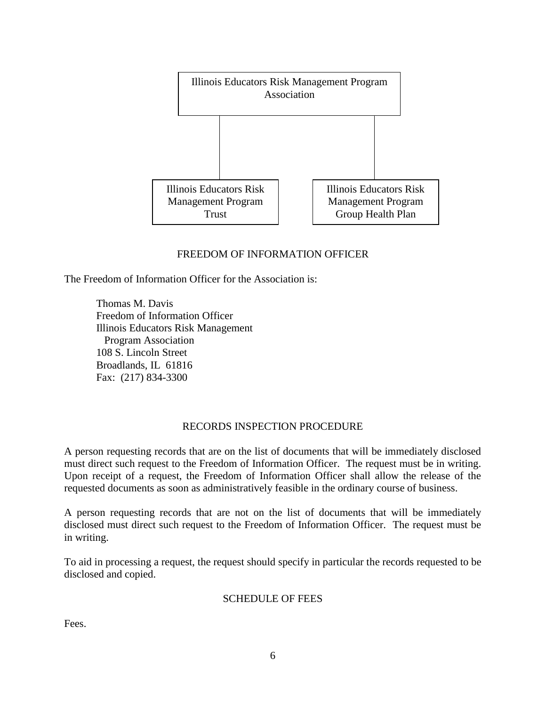

# <span id="page-5-0"></span>FREEDOM OF INFORMATION OFFICER

The Freedom of Information Officer for the Association is:

Thomas M. Davis Freedom of Information Officer Illinois Educators Risk Management Program Association 108 S. Lincoln Street Broadlands, IL 61816 Fax: (217) 834-3300

## <span id="page-5-1"></span>RECORDS INSPECTION PROCEDURE

A person requesting records that are on the list of documents that will be immediately disclosed must direct such request to the Freedom of Information Officer. The request must be in writing. Upon receipt of a request, the Freedom of Information Officer shall allow the release of the requested documents as soon as administratively feasible in the ordinary course of business.

A person requesting records that are not on the list of documents that will be immediately disclosed must direct such request to the Freedom of Information Officer. The request must be in writing.

To aid in processing a request, the request should specify in particular the records requested to be disclosed and copied.

## <span id="page-5-2"></span>SCHEDULE OF FEES

Fees.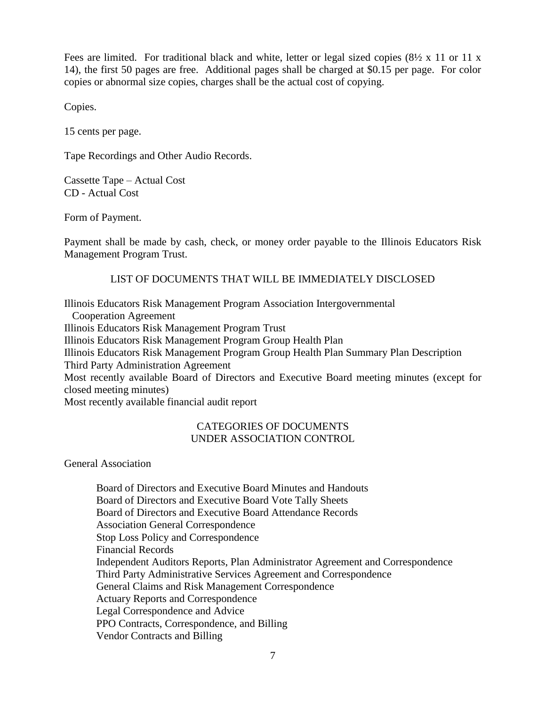Fees are limited. For traditional black and white, letter or legal sized copies  $(8\frac{1}{2} \times 11)$  or 11 x 14), the first 50 pages are free. Additional pages shall be charged at \$0.15 per page. For color copies or abnormal size copies, charges shall be the actual cost of copying.

Copies.

15 cents per page.

Tape Recordings and Other Audio Records.

Cassette Tape – Actual Cost CD - Actual Cost

Form of Payment.

Payment shall be made by cash, check, or money order payable to the Illinois Educators Risk Management Program Trust.

# LIST OF DOCUMENTS THAT WILL BE IMMEDIATELY DISCLOSED

Illinois Educators Risk Management Program Association Intergovernmental Cooperation Agreement Illinois Educators Risk Management Program Trust Illinois Educators Risk Management Program Group Health Plan Illinois Educators Risk Management Program Group Health Plan Summary Plan Description Third Party Administration Agreement Most recently available Board of Directors and Executive Board meeting minutes (except for closed meeting minutes) Most recently available financial audit report

## <span id="page-6-1"></span><span id="page-6-0"></span>CATEGORIES OF DOCUMENTS UNDER ASSOCIATION CONTROL

General Association

Board of Directors and Executive Board Minutes and Handouts Board of Directors and Executive Board Vote Tally Sheets Board of Directors and Executive Board Attendance Records Association General Correspondence Stop Loss Policy and Correspondence Financial Records Independent Auditors Reports, Plan Administrator Agreement and Correspondence Third Party Administrative Services Agreement and Correspondence General Claims and Risk Management Correspondence Actuary Reports and Correspondence Legal Correspondence and Advice PPO Contracts, Correspondence, and Billing Vendor Contracts and Billing